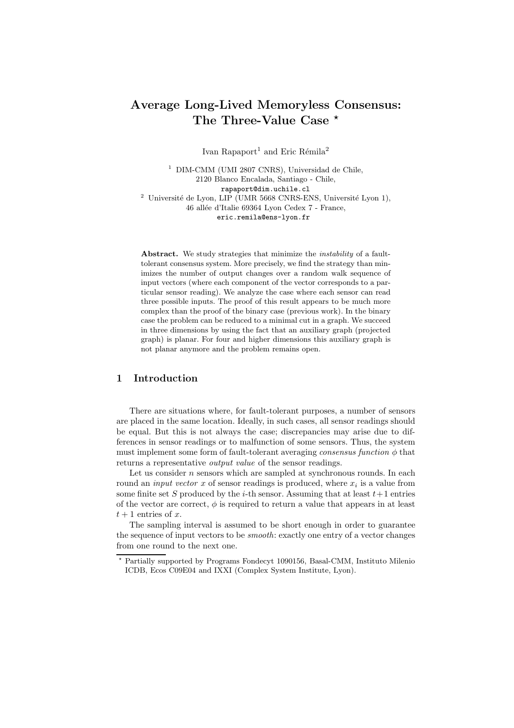# Average Long-Lived Memoryless Consensus: The Three-Value Case  $\star$

Ivan Rapaport<sup>1</sup> and Eric Rémila<sup>2</sup>

<sup>1</sup> DIM-CMM (UMI 2807 CNRS), Universidad de Chile, 2120 Blanco Encalada, Santiago - Chile, rapaport@dim.uchile.cl  $^2$ Université de Lyon, LIP (UMR 5668 CNRS-ENS, Université Lyon 1), 46 allée d'Italie 69364 Lyon Cedex 7 - France, eric.remila@ens-lyon.fr

Abstract. We study strategies that minimize the *instability* of a faulttolerant consensus system. More precisely, we find the strategy than minimizes the number of output changes over a random walk sequence of input vectors (where each component of the vector corresponds to a particular sensor reading). We analyze the case where each sensor can read three possible inputs. The proof of this result appears to be much more complex than the proof of the binary case (previous work). In the binary case the problem can be reduced to a minimal cut in a graph. We succeed in three dimensions by using the fact that an auxiliary graph (projected graph) is planar. For four and higher dimensions this auxiliary graph is not planar anymore and the problem remains open.

# 1 Introduction

There are situations where, for fault-tolerant purposes, a number of sensors are placed in the same location. Ideally, in such cases, all sensor readings should be equal. But this is not always the case; discrepancies may arise due to differences in sensor readings or to malfunction of some sensors. Thus, the system must implement some form of fault-tolerant averaging consensus function  $\phi$  that returns a representative *output value* of the sensor readings.

Let us consider  $n$  sensors which are sampled at synchronous rounds. In each round an *input vector* x of sensor readings is produced, where  $x_i$  is a value from some finite set S produced by the *i*-th sensor. Assuming that at least  $t+1$  entries of the vector are correct,  $\phi$  is required to return a value that appears in at least  $t+1$  entries of x.

The sampling interval is assumed to be short enough in order to guarantee the sequence of input vectors to be smooth: exactly one entry of a vector changes from one round to the next one.

Partially supported by Programs Fondecyt 1090156, Basal-CMM, Instituto Milenio ICDB, Ecos C09E04 and IXXI (Complex System Institute, Lyon).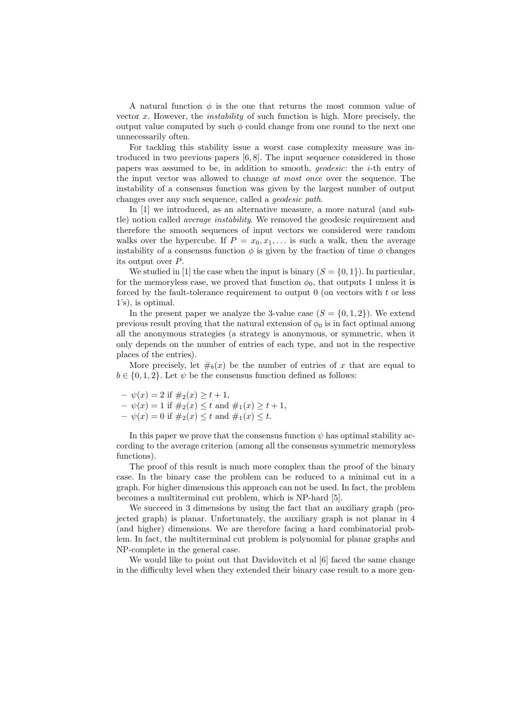A natural function  $\phi$  is the one that returns the most common value of vector x. However, the instability of such function is high. More precisely, the output value computed by such  $\phi$  could change from one round to the next one unnecessarily often.

For tackling this stability issue a worst case complexity measure was introduced in two previous papers [6, 8]. The input sequence considered in those papers was assumed to be, in addition to smooth, geodesic: the i-th entry of the input vector was allowed to change at most once over the sequence. The instability of a consensus function was given by the largest number of output changes over any such sequence, called a geodesic path.

In [1] we introduced, as an alternative measure, a more natural (and subtle) notion called average instability. We removed the geodesic requirement and therefore the smooth sequences of input vectors we considered were random walks over the hypercube. If  $P = x_0, x_1, \ldots$  is such a walk, then the average instability of a consensus function  $\phi$  is given by the fraction of time  $\phi$  changes its output over  $P$ .

We studied in [1] the case when the input is binary  $(S = \{0, 1\})$ . In particular, for the memoryless case, we proved that function  $\phi_0$ , that outputs 1 unless it is forced by the fault-tolerance requirement to output  $0$  (on vectors with t or less 1's), is optimal.

In the present paper we analyze the 3-value case  $(S = \{0, 1, 2\})$ . We extend previous result proving that the natural extension of  $\phi_0$  is in fact optimal among all the anonymous strategies (a strategy is anonymous, or symmetric, when it only depends on the number of entries of each type, and not in the respective places of the entries).

More precisely, let  $\#_b(x)$  be the number of entries of x that are equal to  $b \in \{0, 1, 2\}$ . Let  $\psi$  be the consensus function defined as follows:

 $-\psi(x) = 2$  if  $\#_2(x) \ge t + 1$ ,  $- \psi(x) = 1$  if  $\#_2(x) \le t$  and  $\#_1(x) \ge t + 1$ ,  $- \psi(x) = 0$  if  $\#_2(x) \le t$  and  $\#_1(x) \le t$ .

In this paper we prove that the consensus function  $\psi$  has optimal stability according to the average criterion (among all the consensus symmetric memoryless functions).

The proof of this result is much more complex than the proof of the binary case. In the binary case the problem can be reduced to a minimal cut in a graph. For higher dimensions this approach can not be used. In fact, the problem becomes a multiterminal cut problem, which is NP-hard [5].

We succeed in 3 dimensions by using the fact that an auxiliary graph (projected graph) is planar. Unfortunately, the auxiliary graph is not planar in 4 (and higher) dimensions. We are therefore facing a hard combinatorial problem. In fact, the multiterminal cut problem is polynomial for planar graphs and NP-complete in the general case.

We would like to point out that Davidovitch et al [6] faced the same change in the difficulty level when they extended their binary case result to a more gen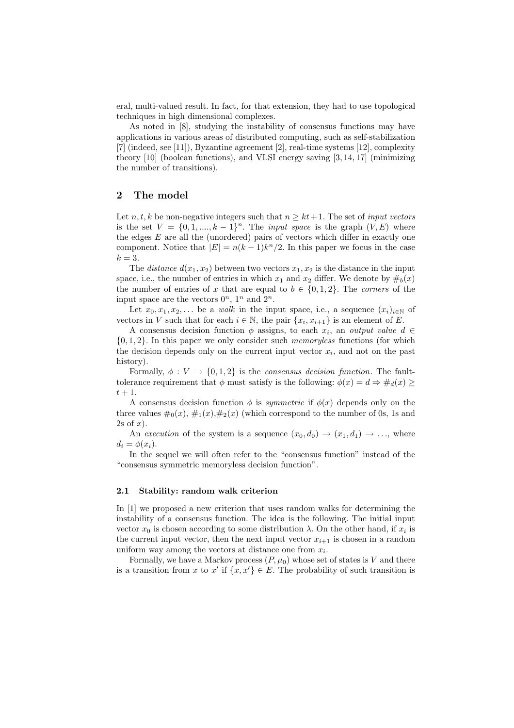eral, multi-valued result. In fact, for that extension, they had to use topological techniques in high dimensional complexes.

As noted in [8], studying the instability of consensus functions may have applications in various areas of distributed computing, such as self-stabilization [7] (indeed, see [11]), Byzantine agreement [2], real-time systems [12], complexity theory [10] (boolean functions), and VLSI energy saving [3, 14, 17] (minimizing the number of transitions).

# 2 The model

Let n, t, k be non-negative integers such that  $n \geq kt + 1$ . The set of *input vectors* is the set  $V = \{0, 1, ..., k-1\}^n$ . The *input space* is the graph  $(V, E)$  where the edges  $E$  are all the (unordered) pairs of vectors which differ in exactly one component. Notice that  $|E| = n(k-1)k^{n}/2$ . In this paper we focus in the case  $k=3$ .

The *distance*  $d(x_1, x_2)$  between two vectors  $x_1, x_2$  is the distance in the input space, i.e., the number of entries in which  $x_1$  and  $x_2$  differ. We denote by  $\#_b(x)$ the number of entries of x that are equal to  $b \in \{0, 1, 2\}$ . The corners of the input space are the vectors  $0^n$ ,  $1^n$  and  $2^n$ .

Let  $x_0, x_1, x_2, \ldots$  be a walk in the input space, i.e., a sequence  $(x_i)_{i\in\mathbb{N}}$  of vectors in V such that for each  $i \in \mathbb{N}$ , the pair  $\{x_i, x_{i+1}\}$  is an element of E.

A consensus decision function  $\phi$  assigns, to each  $x_i$ , an *output value d*  $\in$  $\{0, 1, 2\}$ . In this paper we only consider such *memoryless* functions (for which the decision depends only on the current input vector  $x_i$ , and not on the past history).

Formally,  $\phi: V \to \{0, 1, 2\}$  is the consensus decision function. The faulttolerance requirement that  $\phi$  must satisfy is the following:  $\phi(x) = d \Rightarrow \#_d(x) \ge$  $t+1$ .

A consensus decision function  $\phi$  is *symmetric* if  $\phi(x)$  depends only on the three values  $\#_0(x)$ ,  $\#_1(x)$ ,  $\#_2(x)$  (which correspond to the number of 0s, 1s and  $2s \text{ of } x$ ).

An execution of the system is a sequence  $(x_0, d_0) \rightarrow (x_1, d_1) \rightarrow \ldots$ , where  $d_i = \phi(x_i)$ .

In the sequel we will often refer to the "consensus function" instead of the "consensus symmetric memoryless decision function".

#### 2.1 Stability: random walk criterion

In [1] we proposed a new criterion that uses random walks for determining the instability of a consensus function. The idea is the following. The initial input vector  $x_0$  is chosen according to some distribution  $\lambda$ . On the other hand, if  $x_i$  is the current input vector, then the next input vector  $x_{i+1}$  is chosen in a random uniform way among the vectors at distance one from  $x_i$ .

Formally, we have a Markov process  $(P, \mu_0)$  whose set of states is V and there is a transition from x to x' if  $\{x, x'\} \in E$ . The probability of such transition is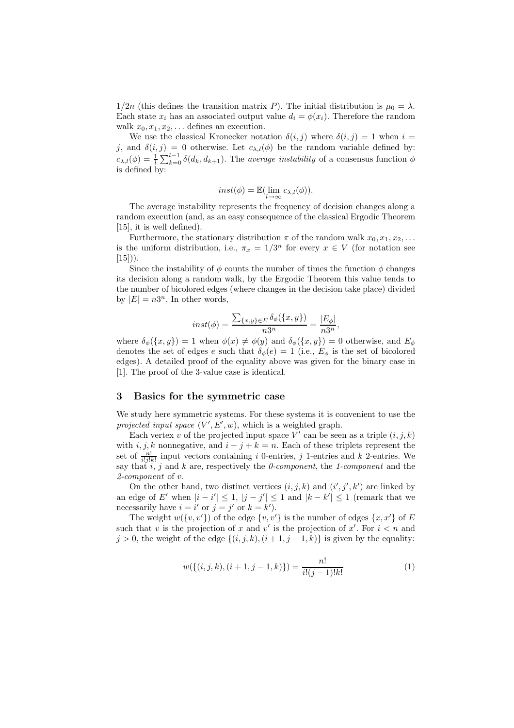$1/2n$  (this defines the transition matrix P). The initial distribution is  $\mu_0 = \lambda$ . Each state  $x_i$  has an associated output value  $d_i = \phi(x_i)$ . Therefore the random walk  $x_0, x_1, x_2, \ldots$  defines an execution.

We use the classical Kronecker notation  $\delta(i, j)$  where  $\delta(i, j) = 1$  when  $i =$ j, and  $\delta(i, j) = 0$  otherwise. Let  $c_{\lambda, l}(\phi)$  be the random variable defined by:  $c_{\lambda,l}(\phi) = \frac{1}{l} \sum_{k=0}^{l-1} \delta(d_k, d_{k+1})$ . The *average instability* of a consensus function  $\phi$ is defined by:

$$
inst(\phi) = \mathbb{E}(\lim_{l \to \infty} c_{\lambda,l}(\phi)).
$$

The average instability represents the frequency of decision changes along a random execution (and, as an easy consequence of the classical Ergodic Theorem [15], it is well defined).

Furthermore, the stationary distribution  $\pi$  of the random walk  $x_0, x_1, x_2, \ldots$ is the uniform distribution, i.e.,  $\pi_x = 1/3^n$  for every  $x \in V$  (for notation see  $[15]$ ).

Since the instability of  $\phi$  counts the number of times the function  $\phi$  changes its decision along a random walk, by the Ergodic Theorem this value tends to the number of bicolored edges (where changes in the decision take place) divided by  $|E| = n3^n$ . In other words,

$$
inst(\phi) = \frac{\sum_{\{x,y\} \in E} \delta_{\phi}(\{x,y\})}{n3^n} = \frac{|E_{\phi}|}{n3^n},
$$

where  $\delta_{\phi}(\{x, y\}) = 1$  when  $\phi(x) \neq \phi(y)$  and  $\delta_{\phi}(\{x, y\}) = 0$  otherwise, and  $E_{\phi}$ denotes the set of edges e such that  $\delta_{\phi}(e) = 1$  (i.e.,  $E_{\phi}$  is the set of bicolored edges). A detailed proof of the equality above was given for the binary case in [1]. The proof of the 3-value case is identical.

### 3 Basics for the symmetric case

We study here symmetric systems. For these systems it is convenient to use the projected input space  $(V', E', w)$ , which is a weighted graph.

Each vertex v of the projected input space  $V'$  can be seen as a triple  $(i, j, k)$ with  $i, j, k$  nonnegative, and  $i + j + k = n$ . Each of these triplets represent the set of  $\frac{n!}{i!j!k!}$  input vectors containing i 0-entries, j 1-entries and k 2-entries. We say that  $i, j$  and  $k$  are, respectively the *0-component*, the *1-component* and the 2-component of v.

On the other hand, two distinct vertices  $(i, j, k)$  and  $(i', j', k')$  are linked by an edge of E' when  $|i - i' | \leq 1$ ,  $|j - j' | \leq 1$  and  $|k - k' | \leq 1$  (remark that we necessarily have  $i = i'$  or  $j = j'$  or  $k = k'$ .

The weight  $w({v, v'})$  of the edge  ${v, v'}$  is the number of edges  ${x, x'}$  of E such that v is the projection of x and v' is the projection of  $x'$ . For  $i < n$  and  $j > 0$ , the weight of the edge  $\{(i, j, k), (i + 1, j - 1, k)\}\$ is given by the equality:

$$
w(\{(i,j,k),(i+1,j-1,k)\}) = \frac{n!}{i!(j-1)!k!}
$$
 (1)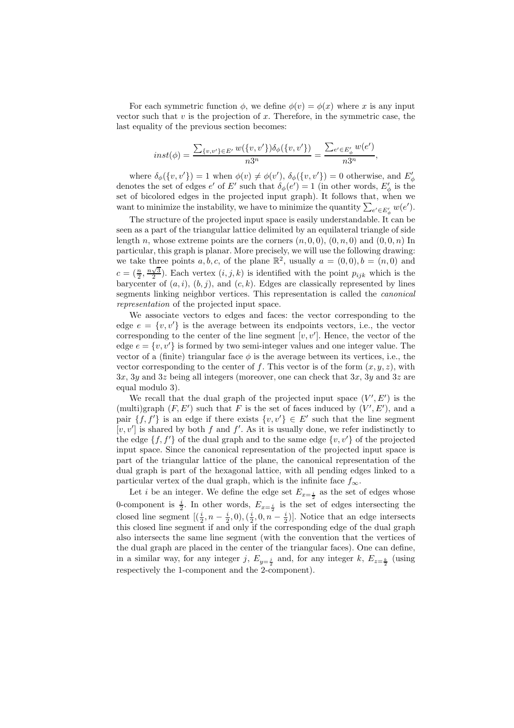For each symmetric function  $\phi$ , we define  $\phi(v) = \phi(x)$  where x is any input vector such that  $v$  is the projection of  $x$ . Therefore, in the symmetric case, the last equality of the previous section becomes:

$$
inst(\phi) = \frac{\sum_{\{v,v'\} \in E'} w(\{v,v'\}) \delta_{\phi}(\{v,v'\})}{n3^n} = \frac{\sum_{e' \in E'_{\phi}} w(e')}{n3^n},
$$

where  $\delta_{\phi}(\{v, v'\}) = 1$  when  $\phi(v) \neq \phi(v')$ ,  $\delta_{\phi}(\{v, v'\}) = 0$  otherwise, and  $E'_{\phi}$ denotes the set of edges  $e'$  of  $E'$  such that  $\delta_{\phi}(e') = 1$  (in other words,  $E'_{\phi}$  is the set of bicolored edges in the projected input graph). It follows that, when we want to minimize the instability, we have to minimize the quantity  $\sum_{e' \in E'_\phi} w(e').$ 

The structure of the projected input space is easily understandable. It can be seen as a part of the triangular lattice delimited by an equilateral triangle of side length n, whose extreme points are the corners  $(n, 0, 0)$ ,  $(0, n, 0)$  and  $(0, 0, n)$  In particular, this graph is planar. More precisely, we will use the following drawing: we take three points a, b, c, of the plane  $\mathbb{R}^2$ , usually  $a = (0,0), b = (n,0)$  and  $c = (\frac{n}{2}, \frac{n\sqrt{3}}{2})$ . Each vertex  $(i, j, k)$  is identified with the point  $p_{ijk}$  which is the barycenter of  $(a, i), (b, j)$ , and  $(c, k)$ . Edges are classically represented by lines segments linking neighbor vertices. This representation is called the canonical representation of the projected input space.

We associate vectors to edges and faces: the vector corresponding to the edge  $e = \{v, v'\}$  is the average between its endpoints vectors, i.e., the vector corresponding to the center of the line segment  $[v, v']$ . Hence, the vector of the edge  $e = \{v, v'\}$  is formed by two semi-integer values and one integer value. The vector of a (finite) triangular face  $\phi$  is the average between its vertices, i.e., the vector corresponding to the center of f. This vector is of the form  $(x, y, z)$ , with  $3x, 3y$  and  $3z$  being all integers (moreover, one can check that  $3x, 3y$  and  $3z$  are equal modulo 3).

We recall that the dual graph of the projected input space  $(V', E')$  is the (multi)graph  $(F, E')$  such that F is the set of faces induced by  $(V', E')$ , and a pair  $\{f, f'\}$  is an edge if there exists  $\{v, v'\} \in E'$  such that the line segment  $[v, v']$  is shared by both f and f'. As it is usually done, we refer indistinctly to the edge  $\{f, f'\}$  of the dual graph and to the same edge  $\{v, v'\}$  of the projected input space. Since the canonical representation of the projected input space is part of the triangular lattice of the plane, the canonical representation of the dual graph is part of the hexagonal lattice, with all pending edges linked to a particular vertex of the dual graph, which is the infinite face  $f_{\infty}$ .

Let *i* be an integer. We define the edge set  $E_{x=\frac{i}{2}}$  as the set of edges whose 0-component is  $\frac{i}{2}$ . In other words,  $E_{x=\frac{i}{2}}$  is the set of edges intersecting the closed line segment  $[(\frac{i}{2}, n - \frac{i}{2}, 0), (\frac{i}{2}, 0, n - \frac{i}{2})]$ . Notice that an edge intersects this closed line segment if and only if the corresponding edge of the dual graph also intersects the same line segment (with the convention that the vertices of the dual graph are placed in the center of the triangular faces). One can define, in a similar way, for any integer j,  $E_{y=\frac{j}{2}}$  and, for any integer k,  $E_{z=\frac{k}{2}}$  (using respectively the 1-component and the 2-component).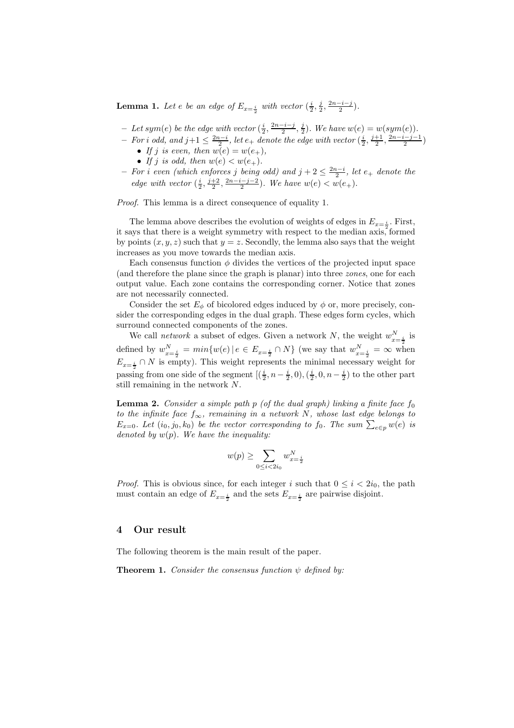**Lemma 1.** Let e be an edge of  $E_{x=\frac{i}{2}}$  with vector  $(\frac{i}{2}, \frac{j}{2}, \frac{2n-i-j}{2})$ .

- − Let sym(e) be the edge with vector  $(\frac{i}{2}, \frac{2n-i-j}{2}, \frac{j}{2})$ . We have  $w(e) = w(sym(e))$ .
- $-$  For i odd, and j+1 ≤  $\frac{2n-i}{2}$ , let  $e_+$  denote the edge with vector  $(\frac{i}{2}, \frac{j+1}{2}, \frac{2n-i-j-1}{2})$ 
	- If j is even, then  $w(e) = w(e_+),$ • If j is odd, then  $w(e) < w(e_+)$ .
- $-$  For i even (which enforces j being odd) and  $j + 2 \leq \frac{2n-i}{2}$ , let  $e_+$  denote the
	- edge with vector  $(\frac{i}{2}, \frac{j+2}{2}, \frac{2n-i-j-2}{2})$ . We have  $w(e) < w(e_+)$ .

Proof. This lemma is a direct consequence of equality 1.

The lemma above describes the evolution of weights of edges in  $E_{x=\frac{i}{2}}$ . First, it says that there is a weight symmetry with respect to the median axis, formed by points  $(x, y, z)$  such that  $y = z$ . Secondly, the lemma also says that the weight increases as you move towards the median axis.

Each consensus function  $\phi$  divides the vertices of the projected input space (and therefore the plane since the graph is planar) into three zones, one for each output value. Each zone contains the corresponding corner. Notice that zones are not necessarily connected.

Consider the set  $E_{\phi}$  of bicolored edges induced by  $\phi$  or, more precisely, consider the corresponding edges in the dual graph. These edges form cycles, which surround connected components of the zones.

We call *network* a subset of edges. Given a network N, the weight  $w_{x=\frac{1}{2}}^N$  is defined by  $w_{x=\frac{i}{2}}^N = min\{w(e) | e \in E_{x=\frac{i}{2}} \cap N\}$  (we say that  $w_{x=\frac{i}{2}}^N = \infty$  when  $E_{x=\frac{i}{2}} \cap N$  is empty). This weight represents the minimal necessary weight for passing from one side of the segment  $[(\frac{i}{2}, n-\frac{i}{2}, 0), (\frac{i}{2}, 0, n-\frac{i}{2})$  to the other part still remaining in the network N.

**Lemma 2.** Consider a simple path p (of the dual graph) linking a finite face  $f_0$ to the infinite face  $f_{\infty}$ , remaining in a network N, whose last edge belongs to  $E_{x=0}$ . Let  $(i_0, j_0, k_0)$  be the vector corresponding to  $f_0$ . The sum  $\sum_{e \in p} w(e)$  is denoted by  $w(p)$ . We have the inequality:

$$
w(p) \geq \sum_{0 \leq i < 2i_0} w_{x=\frac{i}{2}}^N
$$

*Proof.* This is obvious since, for each integer i such that  $0 \leq i \leq 2i_0$ , the path must contain an edge of  $E_{x=\frac{i}{2}}$  and the sets  $E_{x=\frac{i}{2}}$  are pairwise disjoint.

## 4 Our result

The following theorem is the main result of the paper.

**Theorem 1.** Consider the consensus function  $\psi$  defined by: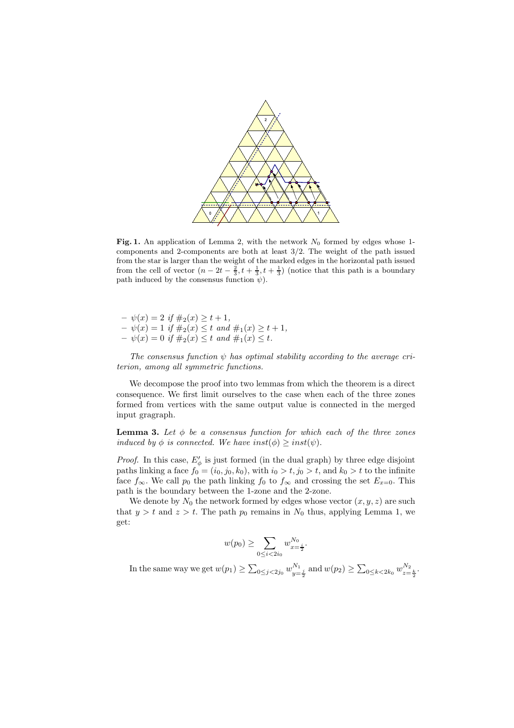

Fig. 1. An application of Lemma 2, with the network  $N_0$  formed by edges whose 1components and 2-components are both at least 3/2. The weight of the path issued from the star is larger than the weight of the marked edges in the horizontal path issued from the cell of vector  $(n-2t-\frac{2}{3},t+\frac{1}{3},t+\frac{1}{3})$  (notice that this path is a boundary path induced by the consensus function  $\psi$ ).

 $- \psi(x) = 2 \text{ if } \#_2(x) \geq t+1,$  $- \psi(x) = 1$  if  $\#_2(x) \le t$  and  $\#_1(x) \ge t + 1$ ,  $- \psi(x) = 0$  if  $\#_2(x) \le t$  and  $\#_1(x) \le t$ .

The consensus function  $\psi$  has optimal stability according to the average criterion, among all symmetric functions.

We decompose the proof into two lemmas from which the theorem is a direct consequence. We first limit ourselves to the case when each of the three zones formed from vertices with the same output value is connected in the merged input gragraph.

**Lemma 3.** Let  $\phi$  be a consensus function for which each of the three zones induced by  $\phi$  is connected. We have  $inst(\phi) \geq inst(\psi)$ .

*Proof.* In this case,  $E'_{\phi}$  is just formed (in the dual graph) by three edge disjoint paths linking a face  $f_0 = (i_0, j_0, k_0)$ , with  $i_0 > t$ ,  $j_0 > t$ , and  $k_0 > t$  to the infinite face  $f_{\infty}$ . We call  $p_0$  the path linking  $f_0$  to  $f_{\infty}$  and crossing the set  $E_{x=0}$ . This path is the boundary between the 1-zone and the 2-zone.

We denote by  $N_0$  the network formed by edges whose vector  $(x, y, z)$  are such that  $y > t$  and  $z > t$ . The path  $p_0$  remains in  $N_0$  thus, applying Lemma 1, we get:

$$
w(p_0) \ge \sum_{0 \le i < 2i_0} w_{x = \frac{i}{2}}^{N_0}.
$$

In the same way we get  $w(p_1) \ge \sum_{0 \le j < 2j_0} w_{y=0}^{N_1}$  $\sum_{y=\frac{j}{2}}^{N_1}$  and  $w(p_2) \ge \sum_{0 \le k < 2k_0} w_{z=\frac{k}{2}}^{N_2}$ .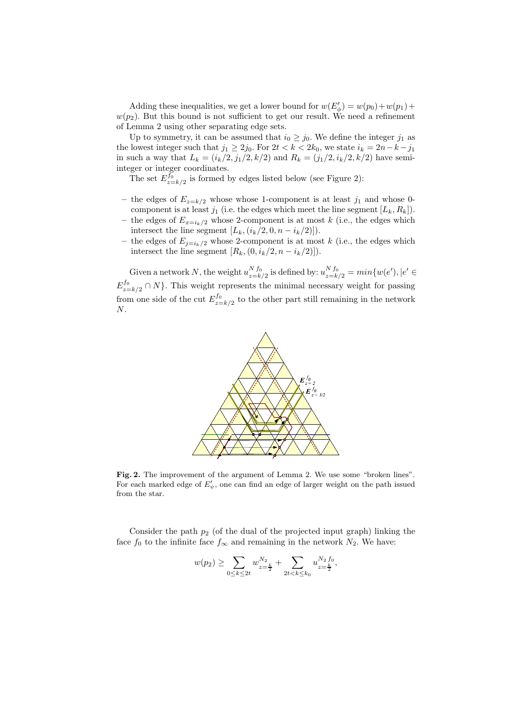Adding these inequalities, we get a lower bound for  $w(E'_{\phi}) = w(p_0) + w(p_1) +$  $w(p_2)$ . But this bound is not sufficient to get our result. We need a refinement of Lemma 2 using other separating edge sets.

Up to symmetry, it can be assumed that  $i_0 \geq j_0$ . We define the integer  $j_1$  as the lowest integer such that  $j_1 \geq 2j_0$ . For  $2t < k < 2k_0$ , we state  $i_k = 2n - k - j_1$ in such a way that  $L_k = (i_k/2, j_1/2, k/2)$  and  $R_k = (j_1/2, i_k/2, k/2)$  have semiinteger or integer coordinates.

The set  $E_{z=k/2}^{f_0}$  is formed by edges listed below (see Figure 2):

- the edges of  $E_{z=k/2}$  whose whose 1-component is at least  $j_1$  and whose 0component is at least  $j_1$  (i.e. the edges which meet the line segment  $[L_k, R_k]$ ).
- the edges of  $E_{x=i_k/2}$  whose 2-component is at most k (i.e., the edges which intersect the line segment  $[L_k,(i_k/2, 0, n - i_k/2)]$ .
- the edges of  $E_{j=i_k/2}$  whose 2-component is at most k (i.e., the edges which intersect the line segment  $[R_k,(0,i_k/2,n-i_k/2)]$ .

Given a network N, the weight  $u_{z=k/2}^{N}$  is defined by:  $u_{z=k/2}^{N} = min\{w(e'), |e' \in$  $E_{z=k/2}^{f_0} \cap N$ . This weight represents the minimal necessary weight for passing from one side of the cut  $E_{z=k/2}^{f_0}$  to the other part still remaining in the network N.



Fig. 2. The improvement of the argument of Lemma 2. We use some "broken lines". For each marked edge of  $E'_{\psi}$ , one can find an edge of larger weight on the path issued from the star.

Consider the path  $p_2$  (of the dual of the projected input graph) linking the face  $f_0$  to the infinite face  $f_{\infty}$  and remaining in the network  $N_2$ . We have:

$$
w(p_2) \ge \sum_{0 \le k \le 2t} w_{z=\frac{k}{2}}^{N_2} + \sum_{2t < k \le k_0} u_{z=\frac{k}{2}}^{N_2} ,
$$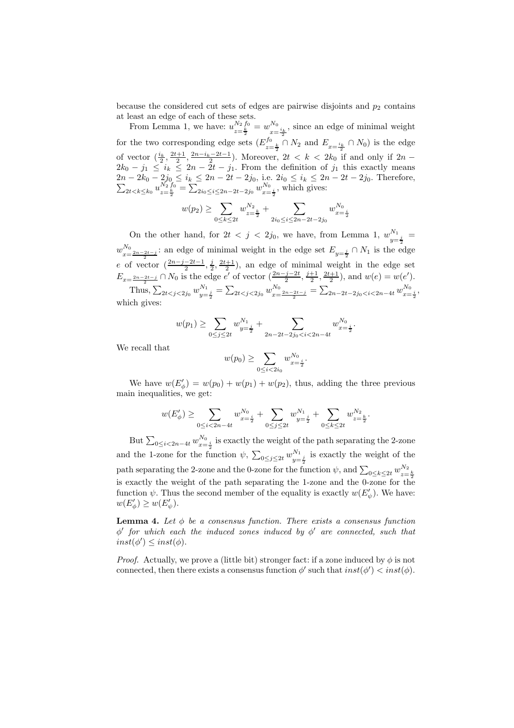because the considered cut sets of edges are pairwise disjoints and  $p_2$  contains at least an edge of each of these sets.

From Lemma 1, we have:  $u_{z=\frac{k}{2}}^{N_2} = w_{x=\frac{k}{2}}^{N_0}$  $\frac{N_0}{x=\frac{i_k}{2}}$ , since an edge of minimal weight for the two corresponding edge sets  $(E_{z=\frac{k}{2}}^{f_0} \cap N_2$  and  $E_{x=\frac{i_k}{2}} \cap N_0$ ) is the edge of vector  $(\frac{i_k}{2}, \frac{2t+1}{2}, \frac{2n-i_k-2t-1}{2})$ . Moreover,  $2t < k < 2k_0$  if and only if  $2n 2k_0 - j_1 \leq i_k \leq 2n - 2t - j_1$ . From the definition of  $j_1$  this exactly means  $\sum$  $2n - 2k_0 - 2j_0 \leq i_k \leq 2n - 2t - 2j_0$ , i.e.  $2i_0 \leq i_k \leq 2n - 2t - 2j_0$ . Therefore,  $_{2t < k \leq k_0} u_{z=\frac{k}{2}}^{N_2} f_0 = \sum_{2i_0 \leq i \leq 2n-2t-2j_0} w_{x=\frac{i}{2}}^{N_0},$  which gives:

$$
w(p_2) \ge \sum_{0 \le k \le 2t} w_{z=\frac{k}{2}}^{N_2} + \sum_{2i_0 \le i \le 2n-2t-2j_0} w_{x=\frac{i}{2}}^{N_0}
$$

On the other hand, for  $2t < j < 2j_0$ , we have, from Lemma 1,  $w_{ij}^{N_1}$  $y=\frac{j}{2}$  =  $w^{N_0}_{\pi}$  $\frac{x}{x} = \frac{2n-2t-j}{2}$ : an edge of minimal weight in the edge set  $E_{y=\frac{j}{2}} \cap N_1$  is the edge e of vector  $(\frac{2n-j-2t-1}{2}, \frac{j}{2}, \frac{2t+1}{2})$ , an edge of minimal weight in the edge set  $E_{x=\frac{2n-2t-j}{2}} \cap N_0$  is the edge e' of vector  $(\frac{2n-j-2t}{2}, \frac{j+1}{2}, \frac{2t+1}{2})$ , and  $w(e) = w(e')$ . Thus,  $\sum_{2t < j < 2j_0} w_{y}^{N_1}$  $\frac{N_1}{y=\frac{j}{2}} = \sum_{2t < j < 2j_0} w_{x=0}^{N_0}$  $\frac{N_0}{x=\frac{2n-2t-j}{2}} = \sum_{2n-2t-2j_0 < i < 2n-4t} w_{x=\frac{i}{2}}^{N_0},$ which gives:

$$
w(p_1) \ge \sum_{0 \le j \le 2t} w_{y=\frac{j}{2}}^{N_1} + \sum_{2n-2t-2j_0 < i < 2n-4t} w_{x=\frac{j}{2}}^{N_0}.
$$

We recall that

$$
w(p_0) \ge \sum_{0 \le i < 2i_0} w_{x = \frac{i}{2}}^{N_0}.
$$

We have  $w(E'_{\phi}) = w(p_0) + w(p_1) + w(p_2)$ , thus, adding the three previous main inequalities, we get:

$$
w(E'_{\phi}) \ge \sum_{0 \le i < 2n - 4t} w_{x = \frac{i}{2}}^{N_0} + \sum_{0 \le j \le 2t} w_{y = \frac{j}{2}}^{N_1} + \sum_{0 \le k \le 2t} w_{z = \frac{k}{2}}^{N_2}.
$$

But  $\sum_{0 \le i < 2n-4t} w_{x=\frac{i}{2}}^{N_0}$  is exactly the weight of the path separating the 2-zone and the 1-zone for the function  $\psi$ ,  $\sum_{0 \leq j \leq 2t} w_{y=0}^{N_1}$  $\frac{N_1}{y=\frac{1}{2}}$  is exactly the weight of the path separating the 2-zone and the 0-zone for the function  $\psi$ , and  $\sum_{0 \le k \le 2t} w_{z=\frac{k}{2}}^{N_2}$ is exactly the weight of the path separating the 1-zone and the 0-zone for the function  $\psi$ . Thus the second member of the equality is exactly  $w(E'_{\psi})$ . We have:  $w(E'_\phi) \geq w(E'_\psi).$ 

**Lemma 4.** Let  $\phi$  be a consensus function. There exists a consensus function  $\phi'$  for which each the induced zones induced by  $\phi'$  are connected, such that  $inst(\phi') \leq inst(\phi).$ 

*Proof.* Actually, we prove a (little bit) stronger fact: if a zone induced by  $\phi$  is not connected, then there exists a consensus function  $\phi'$  such that  $inst(\phi') < inst(\phi)$ .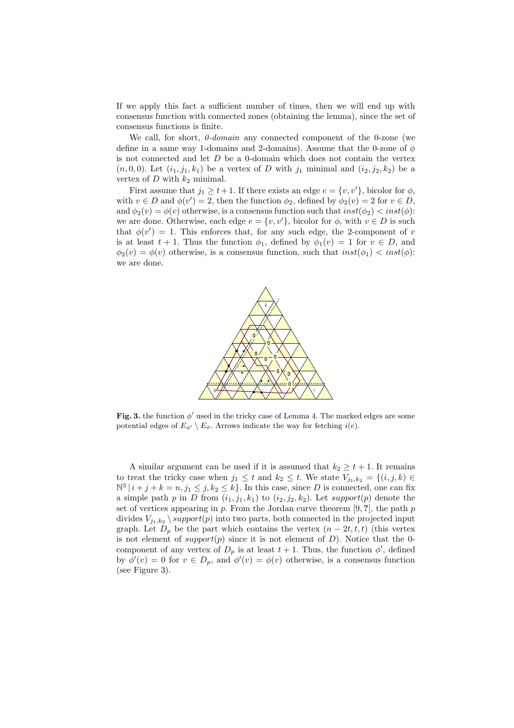If we apply this fact a sufficient number of times, then we will end up with consensus function with connected zones (obtaining the lemma), since the set of consensus functions is finite.

We call, for short, *0-domain* any connected component of the 0-zone (we define in a same way 1-domains and 2-domains). Assume that the 0-zone of  $\phi$ is not connected and let  $D$  be a 0-domain which does not contain the vertex  $(n, 0, 0)$ . Let  $(i_1, j_1, k_1)$  be a vertex of D with  $j_1$  minimal and  $(i_2, j_2, k_2)$  be a vertex of  $D$  with  $k_2$  minimal.

First assume that  $j_1 \geq t+1$ . If there exists an edge  $e = \{v, v'\}$ , bicolor for  $\phi$ , with  $v \in D$  and  $\phi(v') = 2$ , then the function  $\phi_2$ , defined by  $\phi_2(v) = 2$  for  $v \in D$ , and  $\phi_2(v) = \phi(v)$  otherwise, is a consensus function such that  $inst(\phi_2) < inst(\phi)$ : we are done. Otherwise, each edge  $e = \{v, v'\}$ , bicolor for  $\phi$ , with  $v \in D$  is such that  $\phi(v') = 1$ . This enforces that, for any such edge, the 2-component of v is at least  $t + 1$ . Thus the function  $\phi_1$ , defined by  $\phi_1(v) = 1$  for  $v \in D$ , and  $\phi_2(v) = \phi(v)$  otherwise, is a consensus function, such that  $inst(\phi_1) < inst(\phi)$ : we are done.



Fig. 3. the function  $\phi'$  used in the tricky case of Lemma 4. The marked edges are some potential edges of  $E_{\phi}$ <sup>'</sup>  $\setminus E_{\phi}$ . Arrows indicate the way for fetching *i*(*e*).

A similar argument can be used if it is assumed that  $k_2 \geq t+1$ . It remains to treat the tricky case when  $j_1 \leq t$  and  $k_2 \leq t$ . We state  $V_{j_1,k_2} = \{(i,j,k) \in$  $\mathbb{N}^3 | i+j+k = n, j_1 \leq j, k_2 \leq k$ . In this case, since D is connected, one can fix a simple path p in D from  $(i_1, j_1, k_1)$  to  $(i_2, j_2, k_2)$ . Let support $(p)$  denote the set of vertices appearing in  $p$ . From the Jordan curve theorem [9, ?], the path  $p$ divides  $V_{j_1,k_2} \setminus support(p)$  into two parts, both connected in the projected input graph. Let  $D_p$  be the part which contains the vertex  $(n - 2t, t, t)$  (this vertex is not element of support $(p)$  since it is not element of  $D$ ). Notice that the 0component of any vertex of  $D_p$  is at least  $t + 1$ . Thus, the function  $\phi'$ , defined by  $\phi'(v) = 0$  for  $v \in D_p$ , and  $\phi'(v) = \phi(v)$  otherwise, is a consensus function (see Figure 3).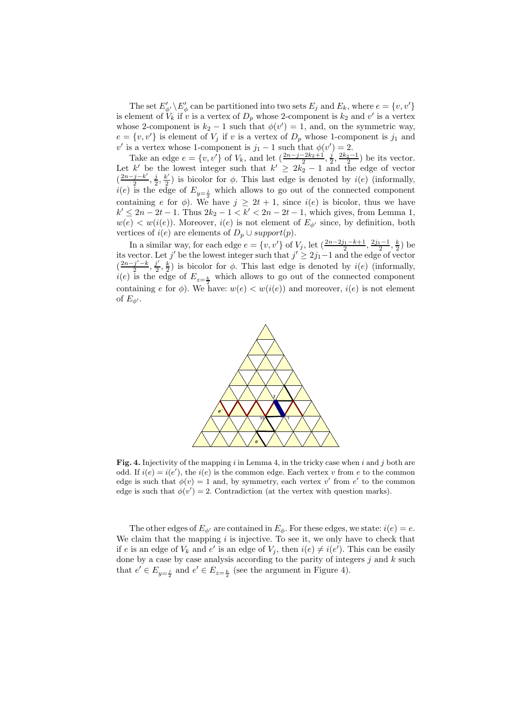The set  $E'_{\phi'} \backslash E'_{\phi}$  can be partitioned into two sets  $E_j$  and  $E_k$ , where  $e = \{v, v'\}$ is element of  $V_k$  if v is a vertex of  $D_p$  whose 2-component is  $k_2$  and  $v'$  is a vertex whose 2-component is  $k_2 - 1$  such that  $\phi(v') = 1$ , and, on the symmetric way,  $e = \{v, v'\}$  is element of  $V_j$  if v is a vertex of  $D_p$  whose 1-component is  $j_1$  and v' is a vertex whose 1-component is  $j_1 - 1$  such that  $\phi(v') = 2$ .

Take an edge  $e = \{v, v'\}$  of  $V_k$ , and let  $\left(\frac{2n-j-2k_2+1}{2}, \frac{j}{2}, \frac{2k_2-1}{2}\right)$  be its vector. Let k' be the lowest integer such that  $k' \geq 2k_2 - 1$  and the edge of vector  $\left(\frac{2n-j-k'}{2}\right)$  $\frac{j-k'}{2}, \frac{j}{2}, \frac{k'}{2}$  $\frac{\varepsilon}{2}$ ) is bicolor for  $\phi$ . This last edge is denoted by  $i(e)$  (informally,  $i(e)$  is the edge of  $E_{y=\frac{j}{2}}$  which allows to go out of the connected component containing e for  $\phi$ ). We have  $j \geq 2t + 1$ , since  $i(e)$  is bicolor, thus we have  $k' \le 2n - 2t - 1$ . Thus  $2k_2 - 1 < k' < 2n - 2t - 1$ , which gives, from Lemma 1,  $w(e) < w(i(e))$ . Moreover,  $i(e)$  is not element of  $E_{\phi'}$  since, by definition, both vertices of  $i(e)$  are elements of  $D_p \cup support(p)$ .

In a similar way, for each edge  $e = \{v, v'\}$  of  $V_j$ , let  $\left(\frac{2n-2j_1-k+1}{2}, \frac{2j_1-1}{2}, \frac{k}{2}\right)$  be its vector. Let j' be the lowest integer such that  $j' \geq 2j_1-1$  and the edge of vector  $\left(\frac{2n-j'-k}{2},\frac{j'}{2}\right)$  $\frac{j'}{2}, \frac{k}{2}$ ) is bicolor for  $\phi$ . This last edge is denoted by  $i(e)$  (informally,  $i(e)$  is the edge of  $E_{z=\frac{k}{2}}$  which allows to go out of the connected component containing e for  $\phi$ ). We have:  $w(e) < w(i(e))$  and moreover,  $i(e)$  is not element of  $E_{\phi'}$ .



**Fig. 4.** Injectivity of the mapping i in Lemma 4, in the tricky case when i and j both are odd. If  $i(e) = i(e')$ , the  $i(e)$  is the common edge. Each vertex v from e to the common edge is such that  $\phi(v) = 1$  and, by symmetry, each vertex v' from e' to the common edge is such that  $\phi(v') = 2$ . Contradiction (at the vertex with question marks).

The other edges of  $E_{\phi'}$  are contained in  $E_{\phi}$ . For these edges, we state:  $i(e) = e$ . We claim that the mapping  $i$  is injective. To see it, we only have to check that if e is an edge of  $V_k$  and  $e'$  is an edge of  $V_j$ , then  $i(e) \neq i(e')$ . This can be easily done by a case by case analysis according to the parity of integers  $j$  and  $k$  such that  $e' \in E_{y=\frac{j}{2}}$  and  $e' \in E_{z=\frac{k}{2}}$  (see the argument in Figure 4).